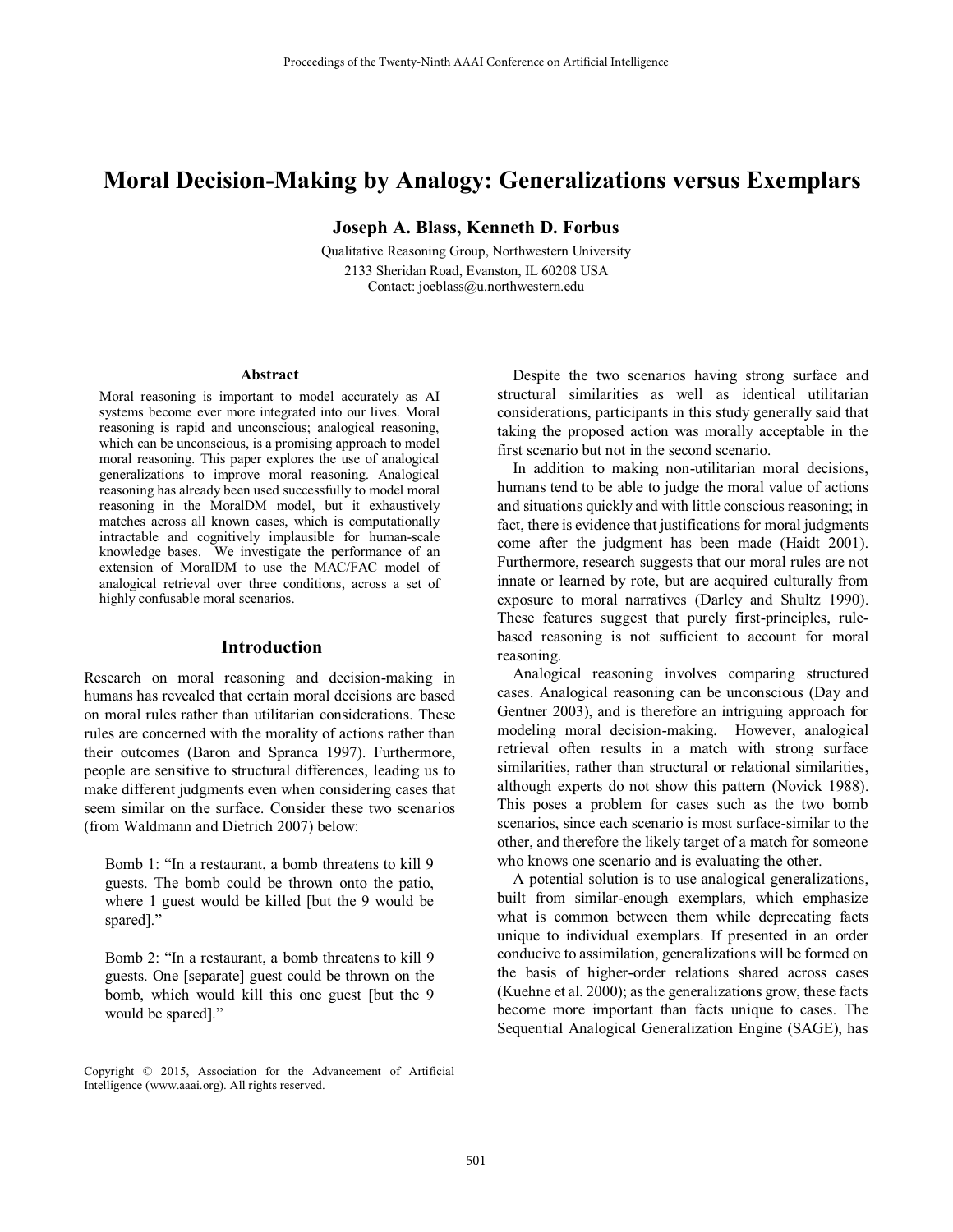# **Moral Decision-Making by Analogy: Generalizations versus Exemplars**

**Joseph A. Blass, Kenneth D. Forbus** 

Qualitative Reasoning Group, Northwestern University 2133 Sheridan Road, Evanston, IL 60208 USA Contact: joeblass@u.northwestern.edu

#### **Abstract**

Moral reasoning is important to model accurately as AI systems become ever more integrated into our lives. Moral reasoning is rapid and unconscious; analogical reasoning, which can be unconscious, is a promising approach to model moral reasoning. This paper explores the use of analogical generalizations to improve moral reasoning. Analogical reasoning has already been used successfully to model moral reasoning in the MoralDM model, but it exhaustively matches across all known cases, which is computationally intractable and cognitively implausible for human-scale knowledge bases. We investigate the performance of an extension of MoralDM to use the MAC/FAC model of analogical retrieval over three conditions, across a set of highly confusable moral scenarios.

#### **Introduction**

Research on moral reasoning and decision-making in humans has revealed that certain moral decisions are based on moral rules rather than utilitarian considerations. These rules are concerned with the morality of actions rather than their outcomes (Baron and Spranca 1997). Furthermore, people are sensitive to structural differences, leading us to make different judgments even when considering cases that seem similar on the surface. Consider these two scenarios (from Waldmann and Dietrich 2007) below:

Bomb 1: "In a restaurant, a bomb threatens to kill 9 guests. The bomb could be thrown onto the patio, where 1 guest would be killed [but the 9 would be spared]."

Bomb 2: "In a restaurant, a bomb threatens to kill 9 guests. One [separate] guest could be thrown on the bomb, which would kill this one guest [but the 9 would be spared]."

 $\overline{a}$ 

 Despite the two scenarios having strong surface and structural similarities as well as identical utilitarian considerations, participants in this study generally said that taking the proposed action was morally acceptable in the first scenario but not in the second scenario.

 In addition to making non-utilitarian moral decisions, humans tend to be able to judge the moral value of actions and situations quickly and with little conscious reasoning; in fact, there is evidence that justifications for moral judgments come after the judgment has been made (Haidt 2001). Furthermore, research suggests that our moral rules are not innate or learned by rote, but are acquired culturally from exposure to moral narratives (Darley and Shultz 1990). These features suggest that purely first-principles, rulebased reasoning is not sufficient to account for moral reasoning.

 Analogical reasoning involves comparing structured cases. Analogical reasoning can be unconscious (Day and Gentner 2003), and is therefore an intriguing approach for modeling moral decision-making. However, analogical retrieval often results in a match with strong surface similarities, rather than structural or relational similarities, although experts do not show this pattern (Novick 1988). This poses a problem for cases such as the two bomb scenarios, since each scenario is most surface-similar to the other, and therefore the likely target of a match for someone who knows one scenario and is evaluating the other.

 A potential solution is to use analogical generalizations, built from similar-enough exemplars, which emphasize what is common between them while deprecating facts unique to individual exemplars. If presented in an order conducive to assimilation, generalizations will be formed on the basis of higher-order relations shared across cases (Kuehne et al. 2000); as the generalizations grow, these facts become more important than facts unique to cases. The Sequential Analogical Generalization Engine (SAGE), has

Copyright © 2015, Association for the Advancement of Artificial Intelligence (www.aaai.org). All rights reserved.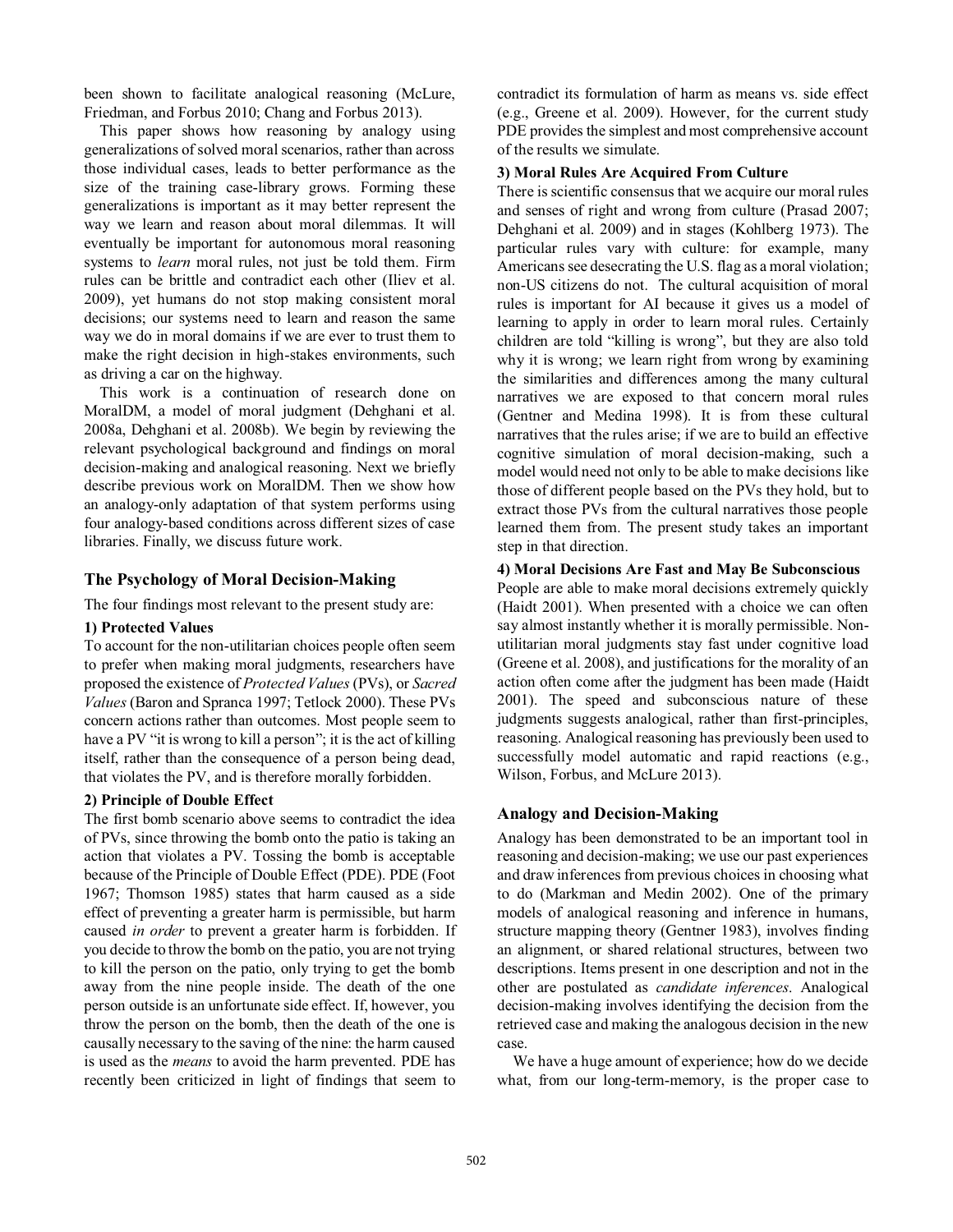been shown to facilitate analogical reasoning (McLure, Friedman, and Forbus 2010; Chang and Forbus 2013).

 This paper shows how reasoning by analogy using generalizations of solved moral scenarios, rather than across those individual cases, leads to better performance as the size of the training case-library grows. Forming these generalizations is important as it may better represent the way we learn and reason about moral dilemmas. It will eventually be important for autonomous moral reasoning systems to *learn* moral rules, not just be told them. Firm rules can be brittle and contradict each other (Iliev et al. 2009), yet humans do not stop making consistent moral decisions; our systems need to learn and reason the same way we do in moral domains if we are ever to trust them to make the right decision in high-stakes environments, such as driving a car on the highway.

 This work is a continuation of research done on MoralDM, a model of moral judgment (Dehghani et al. 2008a, Dehghani et al. 2008b). We begin by reviewing the relevant psychological background and findings on moral decision-making and analogical reasoning. Next we briefly describe previous work on MoralDM. Then we show how an analogy-only adaptation of that system performs using four analogy-based conditions across different sizes of case libraries. Finally, we discuss future work.

### **The Psychology of Moral Decision-Making**

The four findings most relevant to the present study are:

#### **1) Protected Values**

To account for the non-utilitarian choices people often seem to prefer when making moral judgments, researchers have proposed the existence of *Protected Values* (PVs), or *Sacred Values* (Baron and Spranca 1997; Tetlock 2000). These PVs concern actions rather than outcomes. Most people seem to have a PV "it is wrong to kill a person"; it is the act of killing itself, rather than the consequence of a person being dead, that violates the PV, and is therefore morally forbidden.

#### **2) Principle of Double Effect**

The first bomb scenario above seems to contradict the idea of PVs, since throwing the bomb onto the patio is taking an action that violates a PV. Tossing the bomb is acceptable because of the Principle of Double Effect (PDE). PDE (Foot 1967; Thomson 1985) states that harm caused as a side effect of preventing a greater harm is permissible, but harm caused *in order* to prevent a greater harm is forbidden. If you decide to throw the bomb on the patio, you are not trying to kill the person on the patio, only trying to get the bomb away from the nine people inside. The death of the one person outside is an unfortunate side effect. If, however, you throw the person on the bomb, then the death of the one is causally necessary to the saving of the nine: the harm caused is used as the *means* to avoid the harm prevented. PDE has recently been criticized in light of findings that seem to

contradict its formulation of harm as means vs. side effect (e.g., Greene et al. 2009). However, for the current study PDE provides the simplest and most comprehensive account of the results we simulate.

## **3) Moral Rules Are Acquired From Culture**

There is scientific consensus that we acquire our moral rules and senses of right and wrong from culture (Prasad 2007; Dehghani et al. 2009) and in stages (Kohlberg 1973). The particular rules vary with culture: for example, many Americans see desecrating the U.S. flag as a moral violation; non-US citizens do not. The cultural acquisition of moral rules is important for AI because it gives us a model of learning to apply in order to learn moral rules. Certainly children are told "killing is wrong", but they are also told why it is wrong; we learn right from wrong by examining the similarities and differences among the many cultural narratives we are exposed to that concern moral rules (Gentner and Medina 1998). It is from these cultural narratives that the rules arise; if we are to build an effective cognitive simulation of moral decision-making, such a model would need not only to be able to make decisions like those of different people based on the PVs they hold, but to extract those PVs from the cultural narratives those people learned them from. The present study takes an important step in that direction.

#### **4) Moral Decisions Are Fast and May Be Subconscious**

People are able to make moral decisions extremely quickly (Haidt 2001). When presented with a choice we can often say almost instantly whether it is morally permissible. Nonutilitarian moral judgments stay fast under cognitive load (Greene et al. 2008), and justifications for the morality of an action often come after the judgment has been made (Haidt 2001). The speed and subconscious nature of these judgments suggests analogical, rather than first-principles, reasoning. Analogical reasoning has previously been used to successfully model automatic and rapid reactions (e.g., Wilson, Forbus, and McLure 2013).

#### **Analogy and Decision-Making**

Analogy has been demonstrated to be an important tool in reasoning and decision-making; we use our past experiences and draw inferences from previous choices in choosing what to do (Markman and Medin 2002). One of the primary models of analogical reasoning and inference in humans, structure mapping theory (Gentner 1983), involves finding an alignment, or shared relational structures, between two descriptions. Items present in one description and not in the other are postulated as *candidate inferences*. Analogical decision-making involves identifying the decision from the retrieved case and making the analogous decision in the new case.

 We have a huge amount of experience; how do we decide what, from our long-term-memory, is the proper case to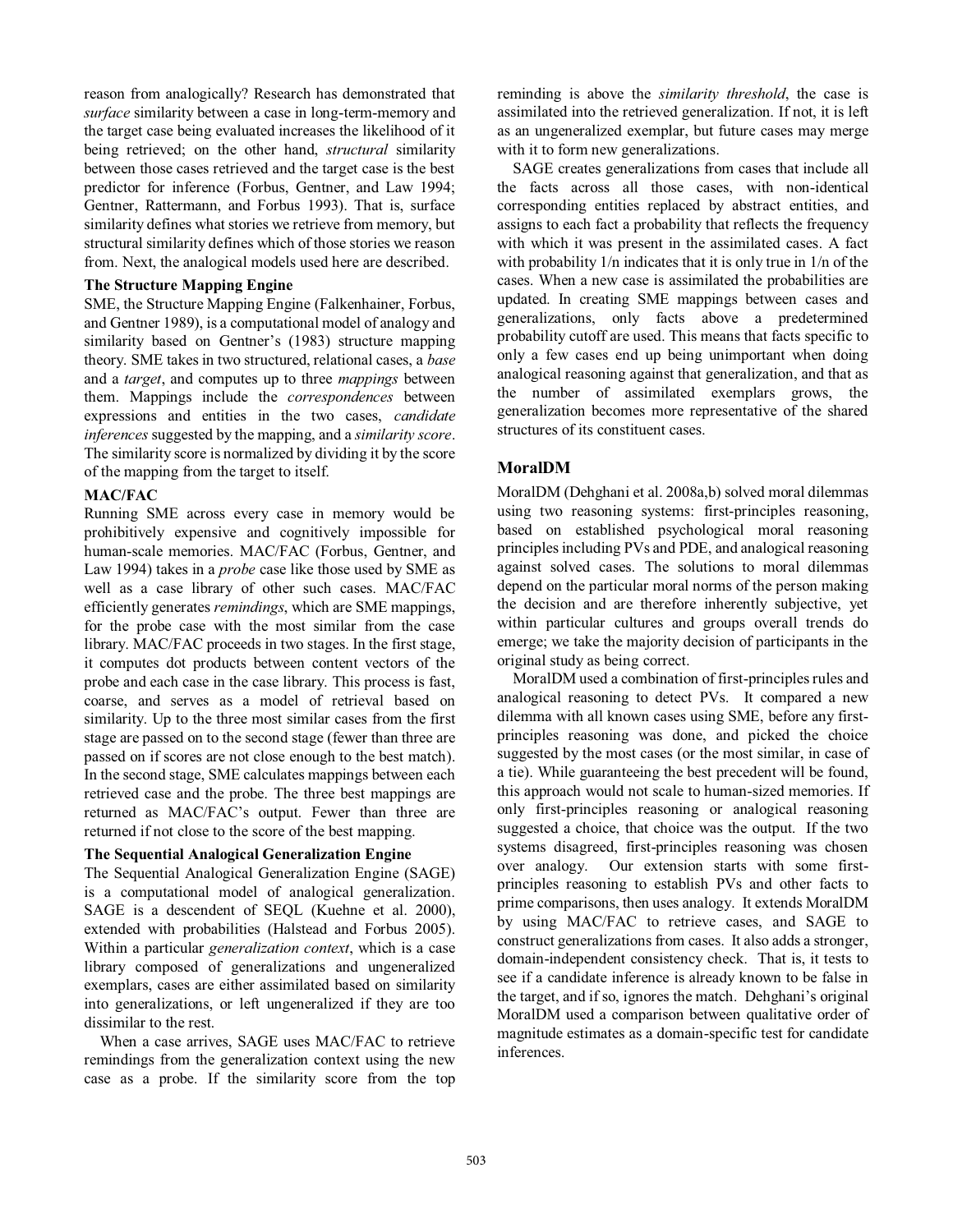reason from analogically? Research has demonstrated that *surface* similarity between a case in long-term-memory and the target case being evaluated increases the likelihood of it being retrieved; on the other hand, *structural* similarity between those cases retrieved and the target case is the best predictor for inference (Forbus, Gentner, and Law 1994; Gentner, Rattermann, and Forbus 1993). That is, surface similarity defines what stories we retrieve from memory, but structural similarity defines which of those stories we reason from. Next, the analogical models used here are described.

## **The Structure Mapping Engine**

SME, the Structure Mapping Engine (Falkenhainer, Forbus, and Gentner 1989), is a computational model of analogy and similarity based on Gentner's (1983) structure mapping theory. SME takes in two structured, relational cases, a *base* and a *target*, and computes up to three *mappings* between them. Mappings include the *correspondences* between expressions and entities in the two cases, *candidate inferences* suggested by the mapping, and a *similarity score*. The similarity score is normalized by dividing it by the score of the mapping from the target to itself.

## **MAC/FAC**

Running SME across every case in memory would be prohibitively expensive and cognitively impossible for human-scale memories. MAC/FAC (Forbus, Gentner, and Law 1994) takes in a *probe* case like those used by SME as well as a case library of other such cases. MAC/FAC efficiently generates *remindings*, which are SME mappings, for the probe case with the most similar from the case library. MAC/FAC proceeds in two stages. In the first stage, it computes dot products between content vectors of the probe and each case in the case library. This process is fast, coarse, and serves as a model of retrieval based on similarity. Up to the three most similar cases from the first stage are passed on to the second stage (fewer than three are passed on if scores are not close enough to the best match). In the second stage, SME calculates mappings between each retrieved case and the probe. The three best mappings are returned as MAC/FAC's output. Fewer than three are returned if not close to the score of the best mapping.

### **The Sequential Analogical Generalization Engine**

The Sequential Analogical Generalization Engine (SAGE) is a computational model of analogical generalization. SAGE is a descendent of SEQL (Kuehne et al. 2000), extended with probabilities (Halstead and Forbus 2005). Within a particular *generalization context*, which is a case library composed of generalizations and ungeneralized exemplars, cases are either assimilated based on similarity into generalizations, or left ungeneralized if they are too dissimilar to the rest.

 When a case arrives, SAGE uses MAC/FAC to retrieve remindings from the generalization context using the new case as a probe. If the similarity score from the top reminding is above the *similarity threshold*, the case is assimilated into the retrieved generalization. If not, it is left as an ungeneralized exemplar, but future cases may merge with it to form new generalizations.

 SAGE creates generalizations from cases that include all the facts across all those cases, with non-identical corresponding entities replaced by abstract entities, and assigns to each fact a probability that reflects the frequency with which it was present in the assimilated cases. A fact with probability  $1/n$  indicates that it is only true in  $1/n$  of the cases. When a new case is assimilated the probabilities are updated. In creating SME mappings between cases and generalizations, only facts above a predetermined probability cutoff are used. This means that facts specific to only a few cases end up being unimportant when doing analogical reasoning against that generalization, and that as the number of assimilated exemplars grows, the generalization becomes more representative of the shared structures of its constituent cases.

# **MoralDM**

MoralDM (Dehghani et al. 2008a,b) solved moral dilemmas using two reasoning systems: first-principles reasoning, based on established psychological moral reasoning principles including PVs and PDE, and analogical reasoning against solved cases. The solutions to moral dilemmas depend on the particular moral norms of the person making the decision and are therefore inherently subjective, yet within particular cultures and groups overall trends do emerge; we take the majority decision of participants in the original study as being correct.

 MoralDM used a combination of first-principles rules and analogical reasoning to detect PVs. It compared a new dilemma with all known cases using SME, before any firstprinciples reasoning was done, and picked the choice suggested by the most cases (or the most similar, in case of a tie). While guaranteeing the best precedent will be found, this approach would not scale to human-sized memories. If only first-principles reasoning or analogical reasoning suggested a choice, that choice was the output. If the two systems disagreed, first-principles reasoning was chosen over analogy. Our extension starts with some firstprinciples reasoning to establish PVs and other facts to prime comparisons, then uses analogy. It extends MoralDM by using MAC/FAC to retrieve cases, and SAGE to construct generalizations from cases. It also adds a stronger, domain-independent consistency check. That is, it tests to see if a candidate inference is already known to be false in the target, and if so, ignores the match. Dehghani's original MoralDM used a comparison between qualitative order of magnitude estimates as a domain-specific test for candidate inferences.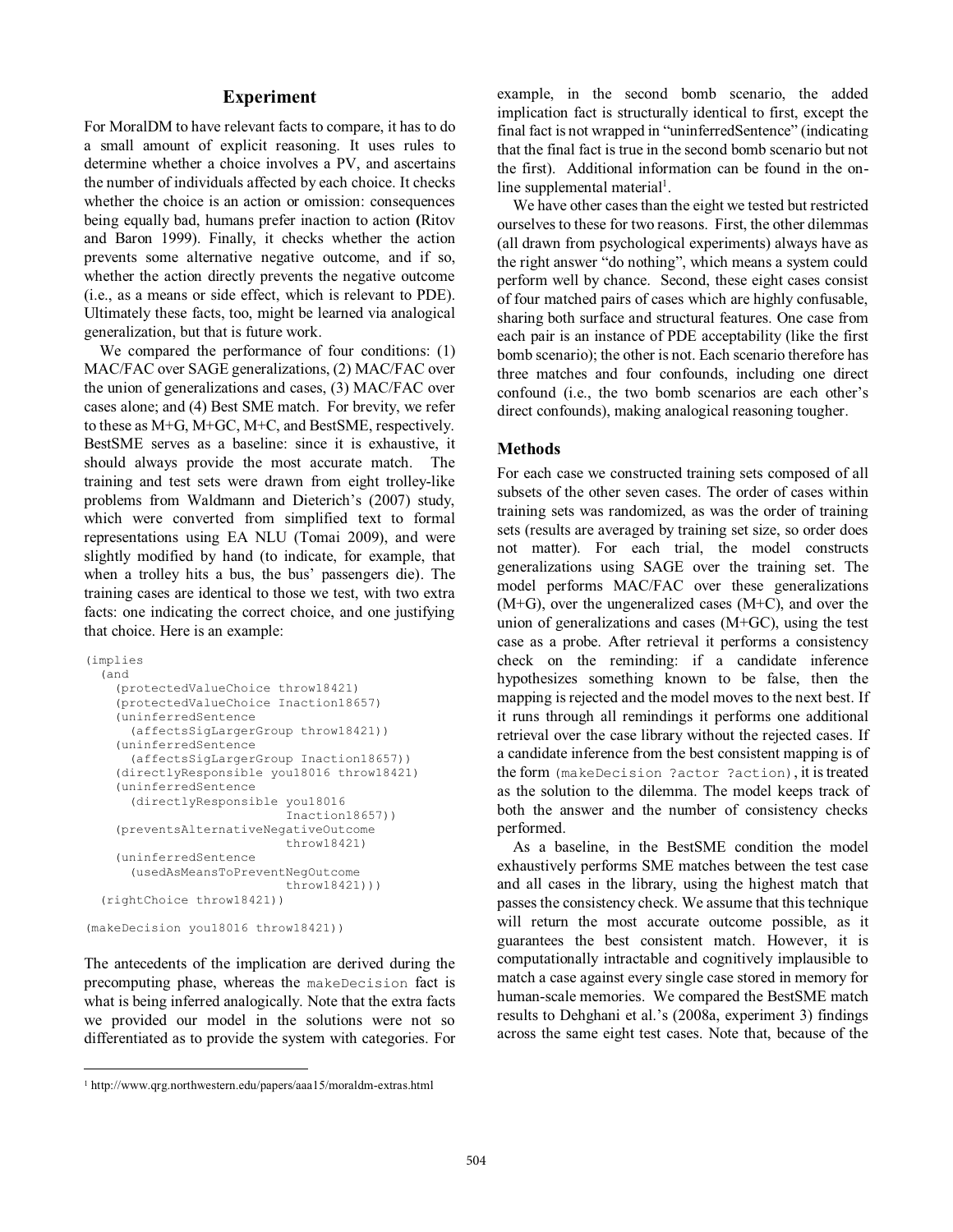## **Experiment**

For MoralDM to have relevant facts to compare, it has to do a small amount of explicit reasoning. It uses rules to determine whether a choice involves a PV, and ascertains the number of individuals affected by each choice. It checks whether the choice is an action or omission: consequences being equally bad, humans prefer inaction to action **(**Ritov and Baron 1999). Finally, it checks whether the action prevents some alternative negative outcome, and if so, whether the action directly prevents the negative outcome (i.e., as a means or side effect, which is relevant to PDE). Ultimately these facts, too, might be learned via analogical generalization, but that is future work.

 We compared the performance of four conditions: (1) MAC/FAC over SAGE generalizations, (2) MAC/FAC over the union of generalizations and cases, (3) MAC/FAC over cases alone; and (4) Best SME match. For brevity, we refer to these as M+G, M+GC, M+C, and BestSME, respectively. BestSME serves as a baseline: since it is exhaustive, it should always provide the most accurate match. The training and test sets were drawn from eight trolley-like problems from Waldmann and Dieterich's (2007) study, which were converted from simplified text to formal representations using EA NLU (Tomai 2009), and were slightly modified by hand (to indicate, for example, that when a trolley hits a bus, the bus' passengers die). The training cases are identical to those we test, with two extra facts: one indicating the correct choice, and one justifying that choice. Here is an example:

```
(implies 
   (and 
     (protectedValueChoice throw18421) 
     (protectedValueChoice Inaction18657) 
     (uninferredSentence 
       (affectsSigLargerGroup throw18421)) 
     (uninferredSentence 
       (affectsSigLargerGroup Inaction18657)) 
     (directlyResponsible you18016 throw18421) 
     (uninferredSentence 
       (directlyResponsible you18016 
                              Inaction18657)) 
     (preventsAlternativeNegativeOutcome 
                              throw18421) 
     (uninferredSentence 
       (usedAsMeansToPreventNegOutcome 
                              throw18421))) 
   (rightChoice throw18421)) 
(makeDecision you18016 throw18421))
```
The antecedents of the implication are derived during the precomputing phase, whereas the makeDecision fact is what is being inferred analogically. Note that the extra facts we provided our model in the solutions were not so differentiated as to provide the system with categories. For

example, in the second bomb scenario, the added implication fact is structurally identical to first, except the final fact is not wrapped in "uninferredSentence" (indicating that the final fact is true in the second bomb scenario but not the first). Additional information can be found in the online supplemental material<sup>1</sup>.

 We have other cases than the eight we tested but restricted ourselves to these for two reasons. First, the other dilemmas (all drawn from psychological experiments) always have as the right answer "do nothing", which means a system could perform well by chance. Second, these eight cases consist of four matched pairs of cases which are highly confusable, sharing both surface and structural features. One case from each pair is an instance of PDE acceptability (like the first bomb scenario); the other is not. Each scenario therefore has three matches and four confounds, including one direct confound (i.e., the two bomb scenarios are each other's direct confounds), making analogical reasoning tougher.

## **Methods**

For each case we constructed training sets composed of all subsets of the other seven cases. The order of cases within training sets was randomized, as was the order of training sets (results are averaged by training set size, so order does not matter). For each trial, the model constructs generalizations using SAGE over the training set. The model performs MAC/FAC over these generalizations  $(M+G)$ , over the ungeneralized cases  $(M+C)$ , and over the union of generalizations and cases (M+GC), using the test case as a probe. After retrieval it performs a consistency check on the reminding: if a candidate inference hypothesizes something known to be false, then the mapping is rejected and the model moves to the next best. If it runs through all remindings it performs one additional retrieval over the case library without the rejected cases. If a candidate inference from the best consistent mapping is of the form (makeDecision ?actor ?action), it is treated as the solution to the dilemma. The model keeps track of both the answer and the number of consistency checks performed.

 As a baseline, in the BestSME condition the model exhaustively performs SME matches between the test case and all cases in the library, using the highest match that passes the consistency check. We assume that this technique will return the most accurate outcome possible, as it guarantees the best consistent match. However, it is computationally intractable and cognitively implausible to match a case against every single case stored in memory for human-scale memories. We compared the BestSME match results to Dehghani et al.'s (2008a, experiment 3) findings across the same eight test cases. Note that, because of the

 $\overline{a}$ 1 http://www.qrg.northwestern.edu/papers/aaa15/moraldm-extras.html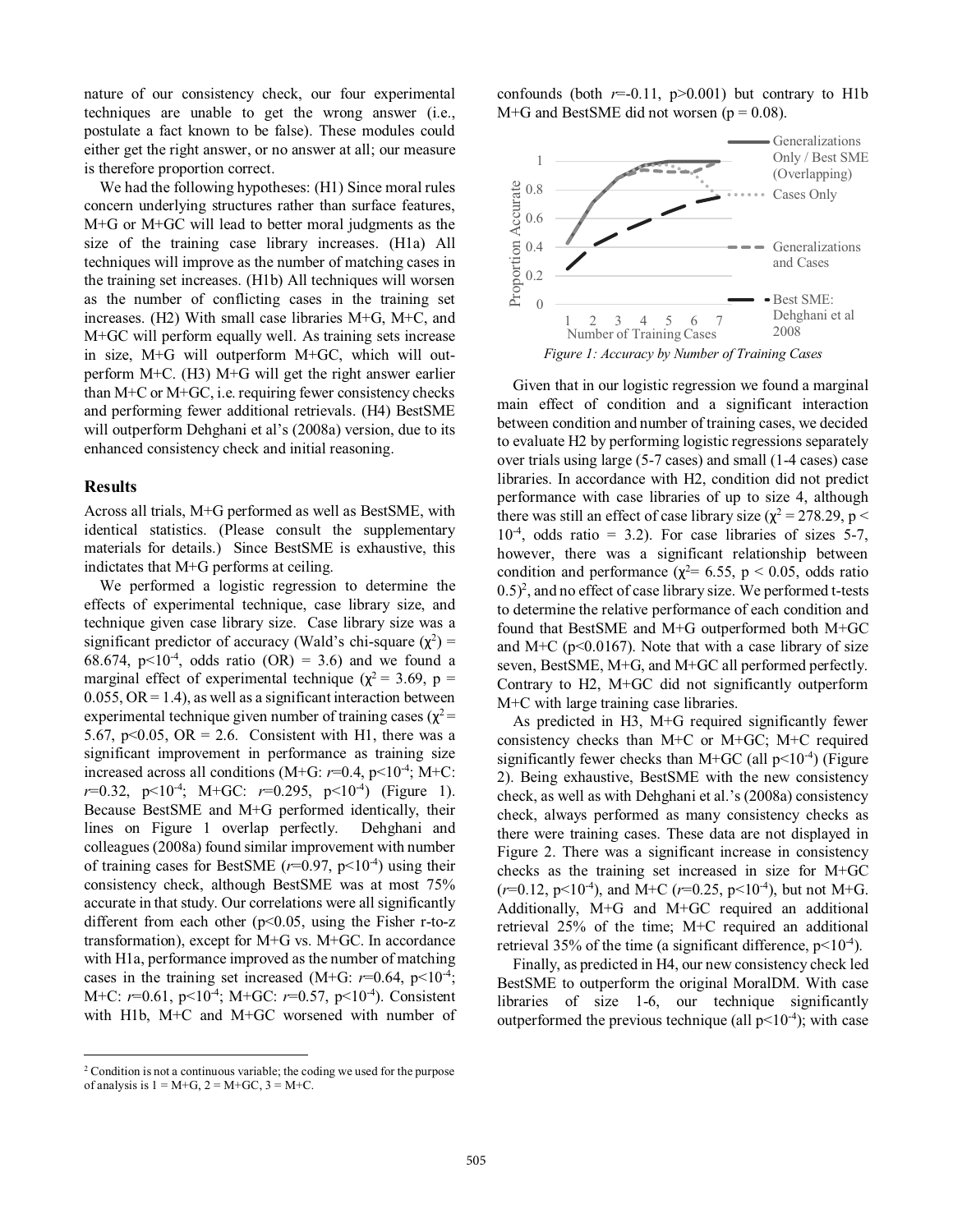nature of our consistency check, our four experimental techniques are unable to get the wrong answer (i.e., postulate a fact known to be false). These modules could either get the right answer, or no answer at all; our measure is therefore proportion correct.

 We had the following hypotheses: (H1) Since moral rules concern underlying structures rather than surface features, M+G or M+GC will lead to better moral judgments as the size of the training case library increases. (H1a) All techniques will improve as the number of matching cases in the training set increases. (H1b) All techniques will worsen as the number of conflicting cases in the training set increases. (H2) With small case libraries M+G, M+C, and M+GC will perform equally well. As training sets increase in size, M+G will outperform M+GC, which will outperform M+C. (H3) M+G will get the right answer earlier than M+C or M+GC, i.e. requiring fewer consistency checks and performing fewer additional retrievals. (H4) BestSME will outperform Dehghani et al's (2008a) version, due to its enhanced consistency check and initial reasoning.

#### **Results**

 $\overline{a}$ 

Across all trials, M+G performed as well as BestSME, with identical statistics. (Please consult the supplementary materials for details.) Since BestSME is exhaustive, this indictates that M+G performs at ceiling.

 We performed a logistic regression to determine the effects of experimental technique, case library size, and technique given case library size. Case library size was a significant predictor of accuracy (Wald's chi-square  $(\chi^2)$  = 68.674,  $p<10^{-4}$ , odds ratio (OR) = 3.6) and we found a marginal effect of experimental technique ( $\chi^2$  = 3.69, p =  $0.055$ ,  $OR = 1.4$ ), as well as a significant interaction between experimental technique given number of training cases ( $\chi^2$  = 5.67, p<0.05, OR = 2.6. Consistent with H1, there was a significant improvement in performance as training size increased across all conditions (M+G:  $r=0.4$ ,  $p<10^{-4}$ ; M+C: *r*=0.32,  $p<10^{-4}$ ; M+GC: *r*=0.295,  $p<10^{-4}$ ) (Figure 1). Because BestSME and M+G performed identically, their lines on Figure 1 overlap perfectly. Dehghani and colleagues (2008a) found similar improvement with number of training cases for BestSME  $(r=0.97, p<10^{-4})$  using their consistency check, although BestSME was at most 75% accurate in that study. Our correlations were all significantly different from each other  $(p<0.05$ , using the Fisher r-to-z transformation), except for M+G vs. M+GC. In accordance with H1a, performance improved as the number of matching cases in the training set increased (M+G:  $r=0.64$ ,  $p<10^{-4}$ ; M+C:  $r=0.61$ ,  $p<10^{-4}$ ; M+GC:  $r=0.57$ ,  $p<10^{-4}$ ). Consistent with H1b, M+C and M+GC worsened with number of

confounds (both  $r=0.11$ ,  $p>0.001$ ) but contrary to H1b  $M+G$  and BestSME did not worsen ( $p = 0.08$ ).



 Given that in our logistic regression we found a marginal main effect of condition and a significant interaction between condition and number of training cases, we decided to evaluate H2 by performing logistic regressions separately over trials using large (5-7 cases) and small (1-4 cases) case libraries. In accordance with H2, condition did not predict performance with case libraries of up to size 4, although there was still an effect of case library size  $(\chi^2 = 278.29, p <$  $10^{-4}$ , odds ratio = 3.2). For case libraries of sizes 5-7, however, there was a significant relationship between condition and performance  $(\chi^2 = 6.55, p < 0.05,$  odds ratio  $(0.5)^2$ , and no effect of case library size. We performed t-tests to determine the relative performance of each condition and found that BestSME and M+G outperformed both M+GC and M+C ( $p<0.0167$ ). Note that with a case library of size seven, BestSME, M+G, and M+GC all performed perfectly. Contrary to H2, M+GC did not significantly outperform M+C with large training case libraries.

 As predicted in H3, M+G required significantly fewer consistency checks than M+C or M+GC; M+C required significantly fewer checks than M+GC (all  $p<10^{-4}$ ) (Figure 2). Being exhaustive, BestSME with the new consistency check, as well as with Dehghani et al.'s (2008a) consistency check, always performed as many consistency checks as there were training cases. These data are not displayed in Figure 2. There was a significant increase in consistency checks as the training set increased in size for M+GC  $(r=0.12, p<10^{-4})$ , and M+C  $(r=0.25, p<10^{-4})$ , but not M+G. Additionally, M+G and M+GC required an additional retrieval 25% of the time; M+C required an additional retrieval 35% of the time (a significant difference,  $p<10^{-4}$ ).

 Finally, as predicted in H4, our new consistency check led BestSME to outperform the original MoralDM. With case libraries of size 1-6, our technique significantly outperformed the previous technique (all  $p<10^{-4}$ ); with case

<sup>2</sup> Condition is not a continuous variable; the coding we used for the purpose of analysis is  $1 = M + G$ ,  $2 = M + GC$ ,  $3 = M + C$ .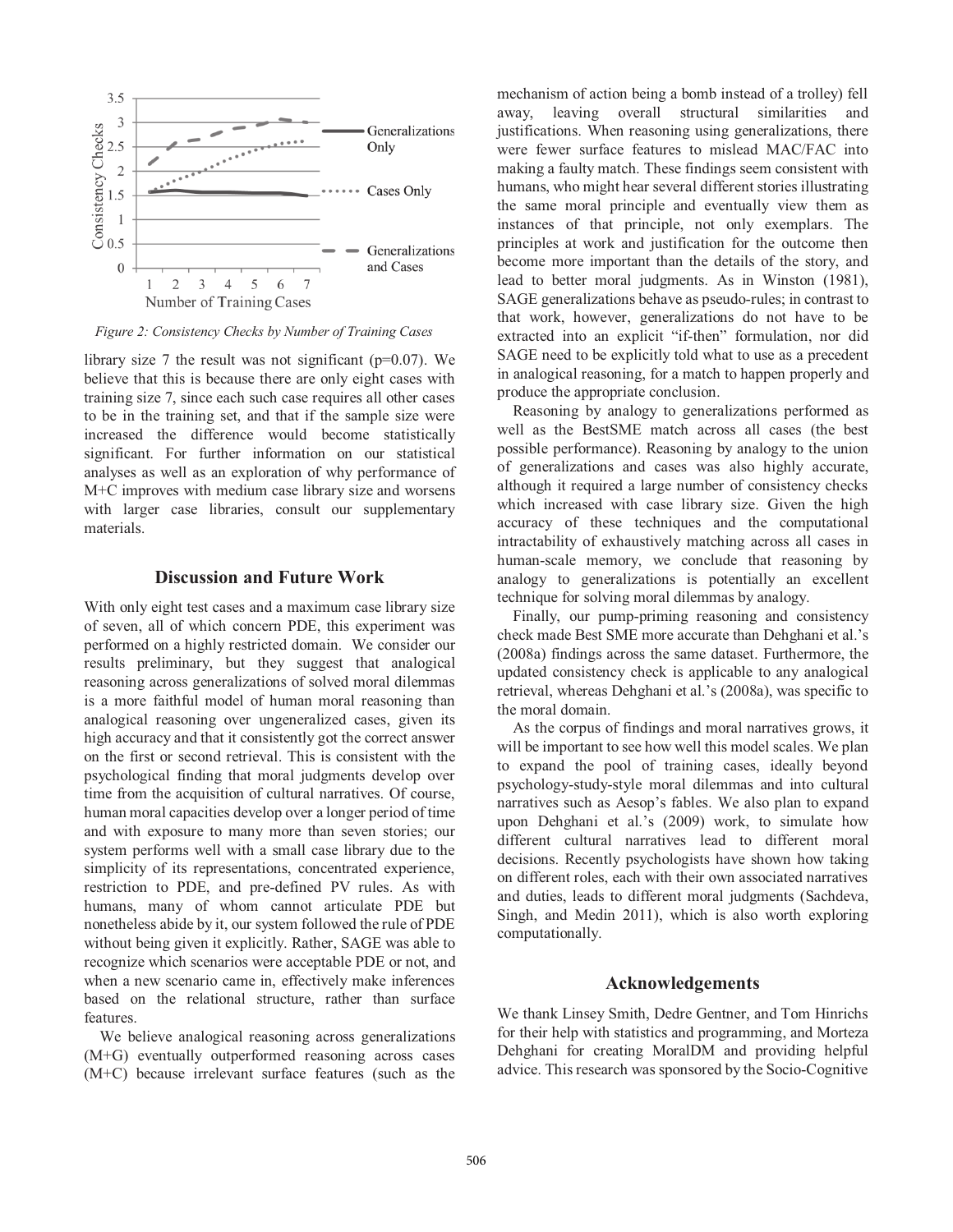

*Figure 2: Consistency Checks by Number of Training Cases*

library size 7 the result was not significant ( $p=0.07$ ). We believe that this is because there are only eight cases with training size 7, since each such case requires all other cases to be in the training set, and that if the sample size were increased the difference would become statistically significant. For further information on our statistical analyses as well as an exploration of why performance of M+C improves with medium case library size and worsens with larger case libraries, consult our supplementary materials.

## **Discussion and Future Work**

With only eight test cases and a maximum case library size of seven, all of which concern PDE, this experiment was performed on a highly restricted domain. We consider our results preliminary, but they suggest that analogical reasoning across generalizations of solved moral dilemmas is a more faithful model of human moral reasoning than analogical reasoning over ungeneralized cases, given its high accuracy and that it consistently got the correct answer on the first or second retrieval. This is consistent with the psychological finding that moral judgments develop over time from the acquisition of cultural narratives. Of course, human moral capacities develop over a longer period of time and with exposure to many more than seven stories; our system performs well with a small case library due to the simplicity of its representations, concentrated experience, restriction to PDE, and pre-defined PV rules. As with humans, many of whom cannot articulate PDE but nonetheless abide by it, our system followed the rule of PDE without being given it explicitly. Rather, SAGE was able to recognize which scenarios were acceptable PDE or not, and when a new scenario came in, effectively make inferences based on the relational structure, rather than surface features.

 We believe analogical reasoning across generalizations (M+G) eventually outperformed reasoning across cases (M+C) because irrelevant surface features (such as the

mechanism of action being a bomb instead of a trolley) fell away, leaving overall structural similarities and justifications. When reasoning using generalizations, there were fewer surface features to mislead MAC/FAC into making a faulty match. These findings seem consistent with humans, who might hear several different stories illustrating the same moral principle and eventually view them as instances of that principle, not only exemplars. The principles at work and justification for the outcome then become more important than the details of the story, and lead to better moral judgments. As in Winston (1981), SAGE generalizations behave as pseudo-rules; in contrast to that work, however, generalizations do not have to be extracted into an explicit "if-then" formulation, nor did SAGE need to be explicitly told what to use as a precedent in analogical reasoning, for a match to happen properly and produce the appropriate conclusion.

 Reasoning by analogy to generalizations performed as well as the BestSME match across all cases (the best possible performance). Reasoning by analogy to the union of generalizations and cases was also highly accurate, although it required a large number of consistency checks which increased with case library size. Given the high accuracy of these techniques and the computational intractability of exhaustively matching across all cases in human-scale memory, we conclude that reasoning by analogy to generalizations is potentially an excellent technique for solving moral dilemmas by analogy.

 Finally, our pump-priming reasoning and consistency check made Best SME more accurate than Dehghani et al.'s (2008a) findings across the same dataset. Furthermore, the updated consistency check is applicable to any analogical retrieval, whereas Dehghani et al.'s (2008a), was specific to the moral domain.

 As the corpus of findings and moral narratives grows, it will be important to see how well this model scales. We plan to expand the pool of training cases, ideally beyond psychology-study-style moral dilemmas and into cultural narratives such as Aesop's fables. We also plan to expand upon Dehghani et al.'s (2009) work, to simulate how different cultural narratives lead to different moral decisions. Recently psychologists have shown how taking on different roles, each with their own associated narratives and duties, leads to different moral judgments (Sachdeva, Singh, and Medin 2011), which is also worth exploring computationally.

# **Acknowledgements**

We thank Linsey Smith, Dedre Gentner, and Tom Hinrichs for their help with statistics and programming, and Morteza Dehghani for creating MoralDM and providing helpful advice. This research was sponsored by the Socio-Cognitive